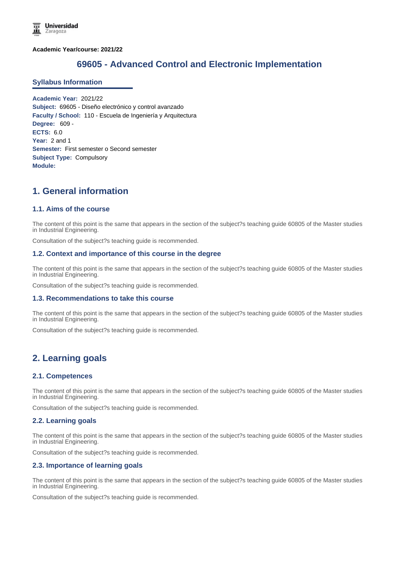**Academic Year/course: 2021/22**

# **69605 - Advanced Control and Electronic Implementation**

#### **Syllabus Information**

**Academic Year:** 2021/22 **Subject:** 69605 - Diseño electrónico y control avanzado **Faculty / School:** 110 - Escuela de Ingeniería y Arquitectura **Degree:** 609 - **ECTS:** 6.0 **Year:** 2 and 1 **Semester:** First semester o Second semester **Subject Type:** Compulsory **Module:**

# **1. General information**

## **1.1. Aims of the course**

The content of this point is the same that appears in the section of the subject?s teaching guide 60805 of the Master studies in Industrial Engineering.

Consultation of the subject?s teaching guide is recommended.

#### **1.2. Context and importance of this course in the degree**

The content of this point is the same that appears in the section of the subject?s teaching guide 60805 of the Master studies in Industrial Engineering.

Consultation of the subject?s teaching guide is recommended.

#### **1.3. Recommendations to take this course**

The content of this point is the same that appears in the section of the subject?s teaching guide 60805 of the Master studies in Industrial Engineering.

Consultation of the subject?s teaching guide is recommended.

## **2. Learning goals**

#### **2.1. Competences**

The content of this point is the same that appears in the section of the subject?s teaching guide 60805 of the Master studies in Industrial Engineering.

Consultation of the subject?s teaching guide is recommended.

#### **2.2. Learning goals**

The content of this point is the same that appears in the section of the subject?s teaching guide 60805 of the Master studies in Industrial Engineering.

Consultation of the subject?s teaching guide is recommended.

#### **2.3. Importance of learning goals**

The content of this point is the same that appears in the section of the subject?s teaching guide 60805 of the Master studies in Industrial Engineering.

Consultation of the subject?s teaching guide is recommended.